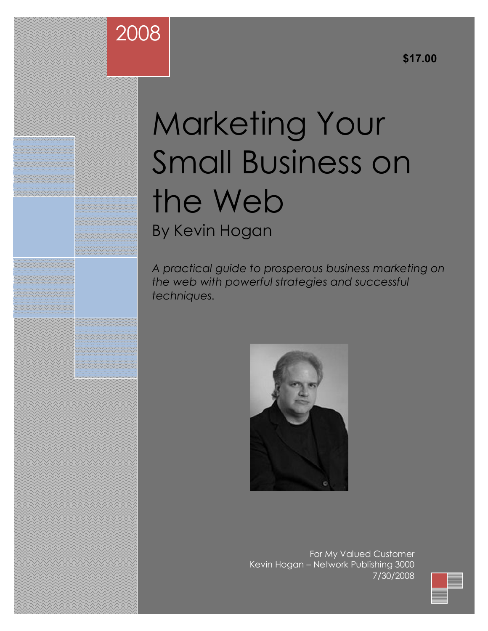# Marketing Your Small Business on the Web By Kevin Hogan

2008

*A practical guide to prosperous business marketing on the web with powerful strategies and successful techniques.*



For My Valued Customer Kevin Hogan – Network Publishing 3000 7/30/2008

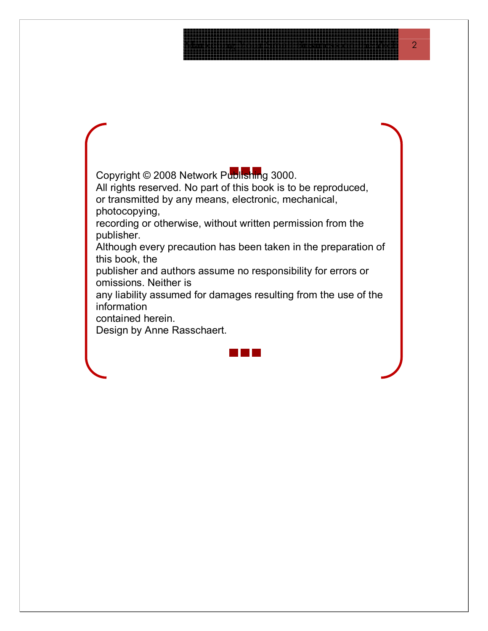Copyright © 2008 Network Publishing 3000.

All rights reserved. No part of this book is to be reproduced, or transmitted by any means, electronic, mechanical, photocopying,

recording or otherwise, without written permission from the publisher.

Although every precaution has been taken in the preparation of this book, the

publisher and authors assume no responsibility for errors or omissions. Neither is

any liability assumed for damages resulting from the use of the information

contained herein.

Design by Anne Rasschaert.

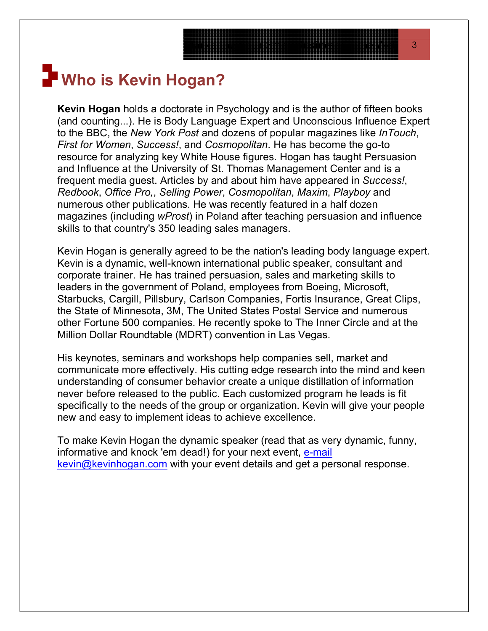# **Who is Kevin Hogan?**

**Kevin Hogan** holds a doctorate in Psychology and is the author of fifteen books (and counting...). He is Body Language Expert and Unconscious Influence Expert to the BBC, the *New York Post* and dozens of popular magazines like *InTouch*, *First for Women*, *Success!*, and *Cosmopolitan*. He has become the go-to resource for analyzing key White House figures. Hogan has taught Persuasion and Influence at the University of St. Thomas Management Center and is a frequent media guest. Articles by and about him have appeared in *Success!*, *Redbook*, *Office Pro,*, *Selling Power*, *Cosmopolitan*, *Maxim*, *Playboy* and numerous other publications. He was recently featured in a half dozen magazines (including *wProst*) in Poland after teaching persuasion and influence skills to that country's 350 leading sales managers.

Kevin Hogan is generally agreed to be the nation's leading body language expert. Kevin is a dynamic, well-known international public speaker, consultant and corporate trainer. He has trained persuasion, sales and marketing skills to leaders in the government of Poland, employees from Boeing, Microsoft, Starbucks, Cargill, Pillsbury, Carlson Companies, Fortis Insurance, Great Clips, the State of Minnesota, 3M, The United States Postal Service and numerous other Fortune 500 companies. He recently spoke to The Inner Circle and at the Million Dollar Roundtable (MDRT) convention in Las Vegas.

His keynotes, seminars and workshops help companies sell, market and communicate more effectively. His cutting edge research into the mind and keen understanding of consumer behavior create a unique distillation of information never before released to the public. Each customized program he leads is fit specifically to the needs of the group or organization. Kevin will give your people new and easy to implement ideas to achieve excellence.

To make Kevin Hogan the dynamic speaker (read that as very dynamic, funny, informative and knock 'em dead!) for your next event, [e-mail](mailto:kevin@kevinhogan.com) [kevin@kevinhogan.com](mailto:kevin@kevinhogan.com) with your event details and get a personal response.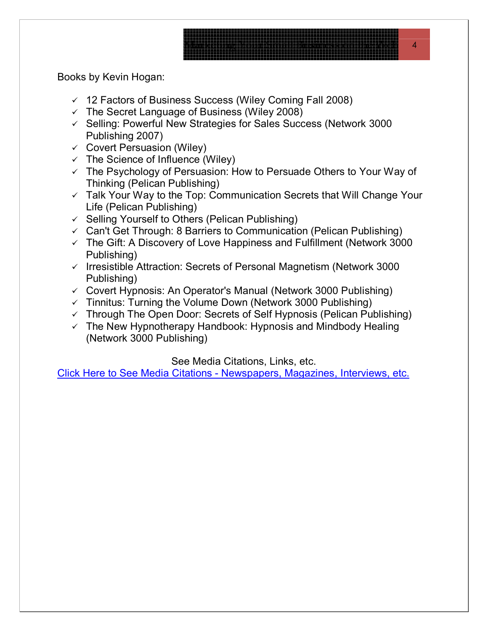Books by Kevin Hogan:

- $\sqrt{ }$  12 Factors of Business Success (Wiley Coming Fall 2008)
- $\checkmark$  The Secret Language of Business (Wiley 2008)
- $\checkmark$  Selling: Powerful New Strategies for Sales Success (Network 3000) Publishing 2007)
- $\checkmark$  Covert Persuasion (Wiley)
- $\checkmark$  The Science of Influence (Wiley)
- $\checkmark$  The Psychology of Persuasion: How to Persuade Others to Your Way of Thinking (Pelican Publishing)
- $\checkmark$  Talk Your Way to the Top: Communication Secrets that Will Change Your Life (Pelican Publishing)
- $\checkmark$  Selling Yourself to Others (Pelican Publishing)
- $\checkmark$  Can't Get Through: 8 Barriers to Communication (Pelican Publishing)
- $\checkmark$  The Gift: A Discovery of Love Happiness and Fulfillment (Network 3000 Publishing)
- $\checkmark$  Irresistible Attraction: Secrets of Personal Magnetism (Network 3000 Publishing)
- $\checkmark$  Covert Hypnosis: An Operator's Manual (Network 3000 Publishing)
- $\checkmark$  Tinnitus: Turning the Volume Down (Network 3000 Publishing)
- $\checkmark$  Through The Open Door: Secrets of Self Hypnosis (Pelican Publishing)
- $\checkmark$  The New Hypnotherapy Handbook: Hypnosis and Mindbody Healing (Network 3000 Publishing)

See Media Citations, Links, etc.

[Click Here to See Media Citations - Newspapers, Magazines, Interviews, etc.](http://kevinhogan.com/kevinhogan-mediacitations.htm)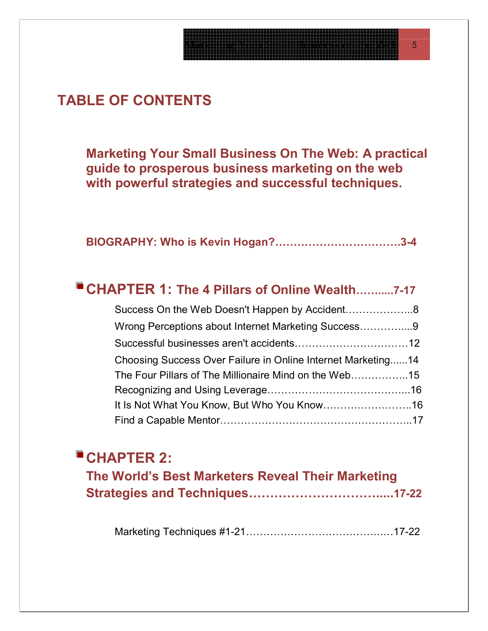# **TABLE OF CONTENTS**

**Marketing Your Small Business On The Web: A practical guide to prosperous business marketing on the web with powerful strategies and successful techniques.**

|--|--|--|

| ■ CHAPTER 1: The 4 Pillars of Online Wealth7-17              |  |
|--------------------------------------------------------------|--|
|                                                              |  |
| Wrong Perceptions about Internet Marketing Success9          |  |
|                                                              |  |
| Choosing Success Over Failure in Online Internet Marketing14 |  |
| The Four Pillars of The Millionaire Mind on the Web15        |  |
|                                                              |  |
|                                                              |  |
|                                                              |  |

## **CHAPTER 2:**

| The World's Best Marketers Reveal Their Marketing |  |
|---------------------------------------------------|--|
|                                                   |  |

Marketing Techniques #1-21………………………………….…17-22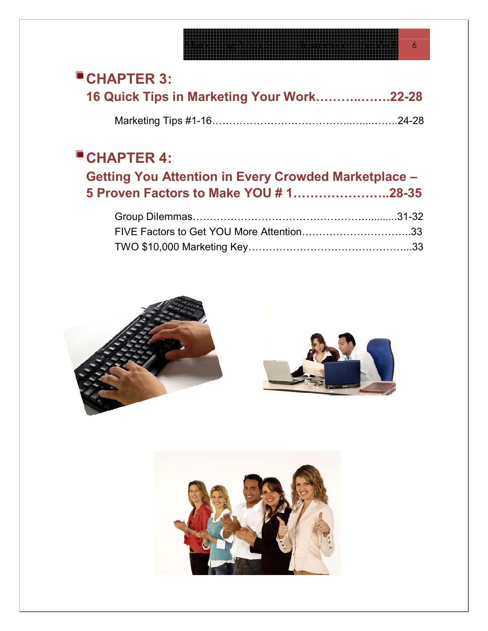# **CHAPTER 3:**

| 16 Quick Tips in Marketing Your Work22-28 |
|-------------------------------------------|
|                                           |

# **CHAPTER 4:**

| Getting You Attention in Every Crowded Marketplace - |  |  |
|------------------------------------------------------|--|--|
| 5 Proven Factors to Make YOU # 128-35                |  |  |
|                                                      |  |  |
|                                                      |  |  |
|                                                      |  |  |





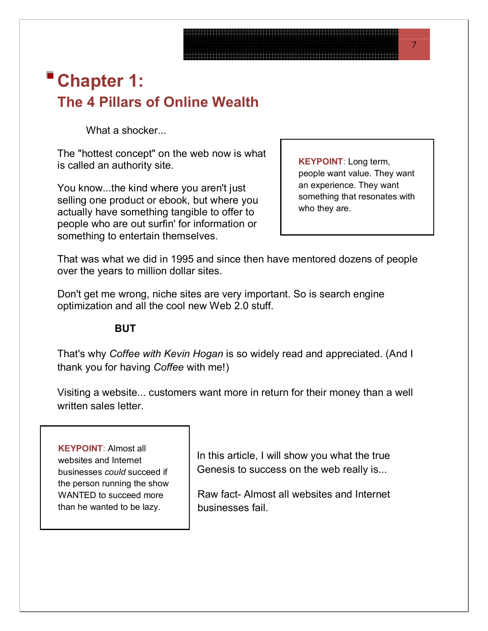# **Chapter 1: The 4 Pillars of Online Wealth**

What a shocker...

The "hottest concept" on the web now is what is called an authority site. **KEYPOINT**: Long term,

You know...the kind where you aren't just selling one product or ebook, but where you actually have something tangible to offer to people who are out surfin' for information or something to entertain themselves.

people want value. They want an experience. They want something that resonates with who they are.

That was what we did in 1995 and since then have mentored dozens of people over the years to million dollar sites.

Don't get me wrong, niche sites are very important. So is search engine optimization and all the cool new Web 2.0 stuff.

#### **BUT**

That's why *Coffee with Kevin Hogan* is so widely read and appreciated. (And I thank you for having *Coffee* with me!)

Visiting a website... customers want more in return for their money than a well written sales letter.

**KEYPOINT**: Almost all websites and Internet businesses *could* succeed if the person running the show WANTED to succeed more than he wanted to be lazy.

In this article, I will show you what the true Genesis to success on the web really is...

Raw fact- Almost all websites and Internet businesses fail.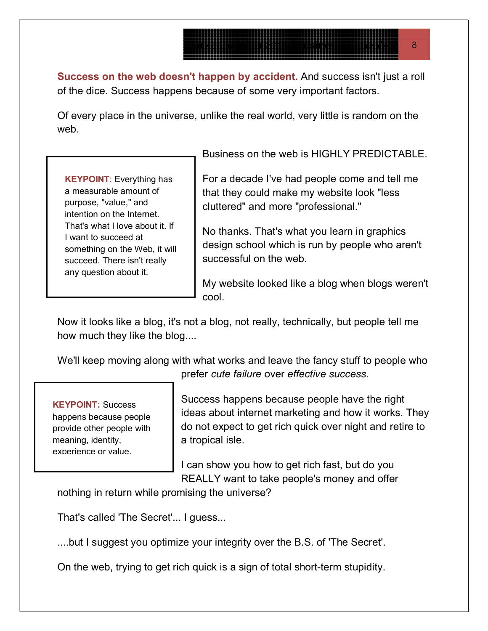**Success on the web doesn't happen by accident.** And success isn't just a roll of the dice. Success happens because of some very important factors.

Of every place in the universe, unlike the real world, very little is random on the web.

**KEYPOINT**: Everything has a measurable amount of purpose, "value," and intention on the Internet. That's what I love about it. If I want to succeed at something on the Web, it will succeed. There isn't really any question about it.

Business on the web is HIGHLY PREDICTABLE.

For a decade I've had people come and tell me that they could make my website look "less cluttered" and more "professional."

No thanks. That's what you learn in graphics design school which is run by people who aren't successful on the web.

My website looked like a blog when blogs weren't cool.

Now it looks like a blog, it's not a blog, not really, technically, but people tell me how much they like the blog....

We'll keep moving along with what works and leave the fancy stuff to people who prefer *cute failure* over *effective success*.

### **KEYPOINT:** Success

happens because people provide other people with meaning, identity, experience or value.

Success happens because people have the right ideas about internet marketing and how it works. They do not expect to get rich quick over night and retire to a tropical isle.

I can show you how to get rich fast, but do you REALLY want to take people's money and offer

nothing in return while promising the universe?

That's called 'The Secret'... I guess...

....but I suggest you optimize your integrity over the B.S. of 'The Secret'.

On the web, trying to get rich quick is a sign of total short-term stupidity.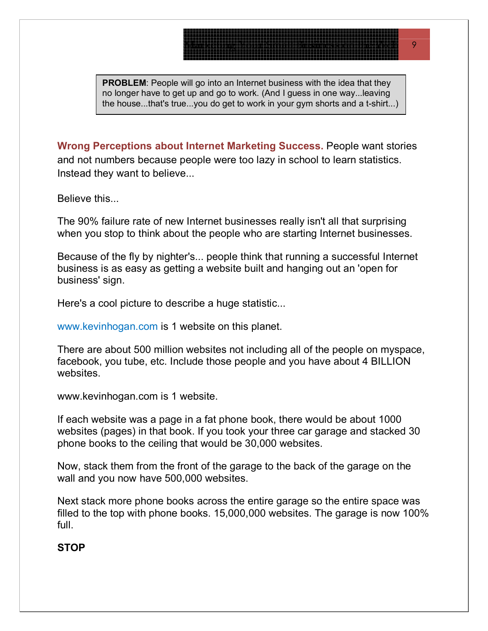**PROBLEM:** People will go into an Internet business with the idea that they no longer have to get up and go to work. (And I guess in one way...leaving the house...that's true...you do get to work in your gym shorts and a t-shirt...)

**Wrong Perceptions about Internet Marketing Success.** People want stories and not numbers because people were too lazy in school to learn statistics. Instead they want to believe...

Believe this...

The 90% failure rate of new Internet businesses really isn't all that surprising when you stop to think about the people who are starting Internet businesses.

Because of the fly by nighter's... people think that running a successful Internet business is as easy as getting a website built and hanging out an 'open for business' sign.

Here's a cool picture to describe a huge statistic...

www.kevinhogan.com is 1 website on this planet.

There are about 500 million websites not including all of the people on myspace, facebook, you tube, etc. Include those people and you have about 4 BILLION websites.

www.kevinhogan.com is 1 website.

If each website was a page in a fat phone book, there would be about 1000 websites (pages) in that book. If you took your three car garage and stacked 30 phone books to the ceiling that would be 30,000 websites.

Now, stack them from the front of the garage to the back of the garage on the wall and you now have 500,000 websites.

Next stack more phone books across the entire garage so the entire space was filled to the top with phone books. 15,000,000 websites. The garage is now 100% full.

#### **STOP**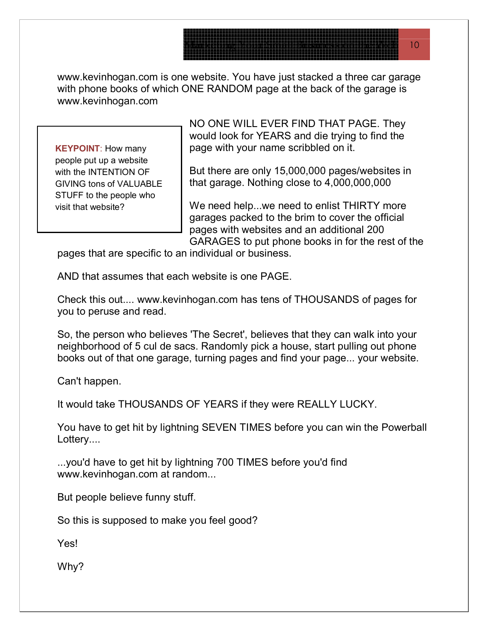www.kevinhogan.com is one website. You have just stacked a three car garage with phone books of which ONE RANDOM page at the back of the garage is www.kevinhogan.com

**KEYPOINT**: How many people put up a website with the INTENTION OF GIVING tons of VALUABLE STUFF to the people who visit that website?

page with your name scribbled on it. NO ONE WILL EVER FIND THAT PAGE. They would look for YEARS and die trying to find the

But there are only 15,000,000 pages/websites in that garage. Nothing close to 4,000,000,000

We need help...we need to enlist THIRTY more garages packed to the brim to cover the official pages with websites and an additional 200 GARAGES to put phone books in for the rest of the

pages that are specific to an individual or business.

AND that assumes that each website is one PAGE.

Check this out.... www.kevinhogan.com has tens of THOUSANDS of pages for you to peruse and read.

So, the person who believes 'The Secret', believes that they can walk into your neighborhood of 5 cul de sacs. Randomly pick a house, start pulling out phone books out of that one garage, turning pages and find your page... your website.

Can't happen.

It would take THOUSANDS OF YEARS if they were REALLY LUCKY.

You have to get hit by lightning SEVEN TIMES before you can win the Powerball Lottery....

...you'd have to get hit by lightning 700 TIMES before you'd find www.kevinhogan.com at random...

But people believe funny stuff.

So this is supposed to make you feel good?

Yes!

Why?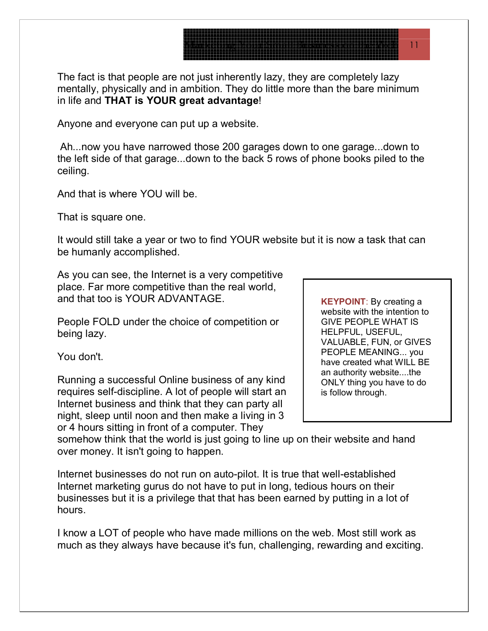The fact is that people are not just inherently lazy, they are completely lazy mentally, physically and in ambition. They do little more than the bare minimum in life and **THAT is YOUR great advantage**!

Anyone and everyone can put up a website.

 Ah...now you have narrowed those 200 garages down to one garage...down to the left side of that garage...down to the back 5 rows of phone books piled to the ceiling.

And that is where YOU will be.

That is square one.

It would still take a year or two to find YOUR website but it is now a task that can be humanly accomplished.

As you can see, the Internet is a very competitive place. Far more competitive than the real world, and that too is YOUR ADVANTAGE.

People FOLD under the choice of competition or being lazy.

You don't.

Running a successful Online business of any kind requires self-discipline. A lot of people will start an Internet business and think that they can party all night, sleep until noon and then make a living in 3 or 4 hours sitting in front of a computer. They

**KEYPOINT**: By creating a website with the intention to GIVE PEOPLE WHAT IS HELPFUL, USEFUL, VALUABLE, FUN, or GIVES PEOPLE MEANING... you have created what WILL BE an authority website....the ONLY thing you have to do is follow through.

somehow think that the world is just going to line up on their website and hand over money. It isn't going to happen.

Internet businesses do not run on auto-pilot. It is true that well-established Internet marketing gurus do not have to put in long, tedious hours on their businesses but it is a privilege that that has been earned by putting in a lot of hours.

I know a LOT of people who have made millions on the web. Most still work as much as they always have because it's fun, challenging, rewarding and exciting.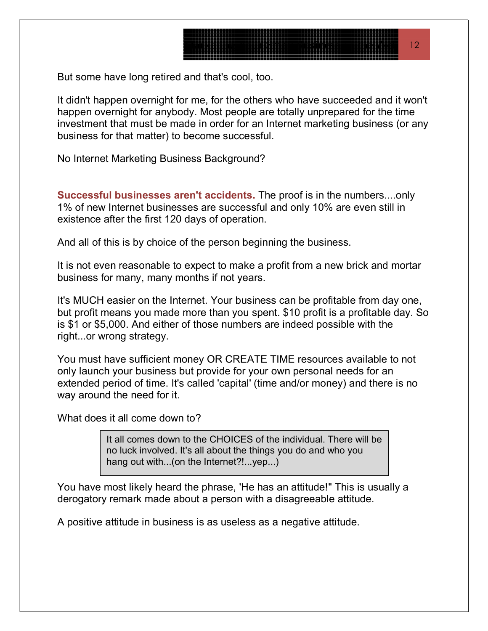But some have long retired and that's cool, too.

It didn't happen overnight for me, for the others who have succeeded and it won't happen overnight for anybody. Most people are totally unprepared for the time investment that must be made in order for an Internet marketing business (or any business for that matter) to become successful.

No Internet Marketing Business Background?

**Successful businesses aren't accidents.** The proof is in the numbers....only 1% of new Internet businesses are successful and only 10% are even still in existence after the first 120 days of operation.

And all of this is by choice of the person beginning the business.

It is not even reasonable to expect to make a profit from a new brick and mortar business for many, many months if not years.

It's MUCH easier on the Internet. Your business can be profitable from day one, but profit means you made more than you spent. \$10 profit is a profitable day. So is \$1 or \$5,000. And either of those numbers are indeed possible with the right...or wrong strategy.

You must have sufficient money OR CREATE TIME resources available to not only launch your business but provide for your own personal needs for an extended period of time. It's called 'capital' (time and/or money) and there is no way around the need for it.

What does it all come down to?

It all comes down to the CHOICES of the individual. There will be no luck involved. It's all about the things you do and who you hang out with...(on the Internet?!...yep...)

You have most likely heard the phrase, 'He has an attitude!" This is usually a derogatory remark made about a person with a disagreeable attitude.

A positive attitude in business is as useless as a negative attitude.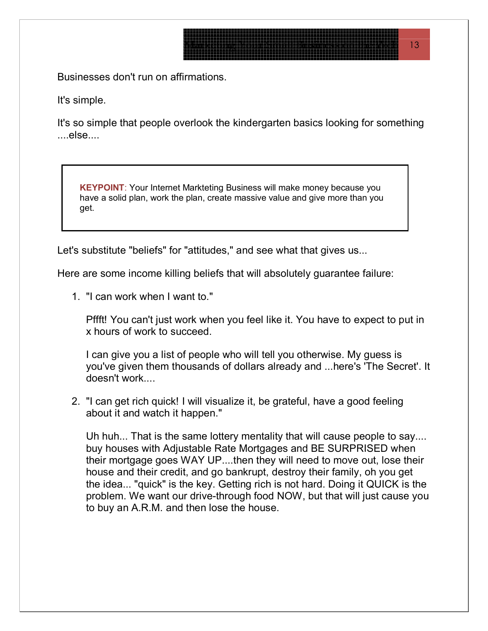Businesses don't run on affirmations.

It's simple.

It's so simple that people overlook the kindergarten basics looking for something ....else....

**KEYPOINT**: Your Internet Markteting Business will make money because you have a solid plan, work the plan, create massive value and give more than you get.

Let's substitute "beliefs" for "attitudes," and see what that gives us...

Here are some income killing beliefs that will absolutely guarantee failure:

1. "I can work when I want to."

Pffft! You can't just work when you feel like it. You have to expect to put in x hours of work to succeed.

I can give you a list of people who will tell you otherwise. My guess is you've given them thousands of dollars already and ...here's 'The Secret'. It doesn't work....

2. "I can get rich quick! I will visualize it, be grateful, have a good feeling about it and watch it happen."

Uh huh... That is the same lottery mentality that will cause people to say.... buy houses with Adjustable Rate Mortgages and BE SURPRISED when their mortgage goes WAY UP....then they will need to move out, lose their house and their credit, and go bankrupt, destroy their family, oh you get the idea... "quick" is the key. Getting rich is not hard. Doing it QUICK is the problem. We want our drive-through food NOW, but that will just cause you to buy an A.R.M. and then lose the house.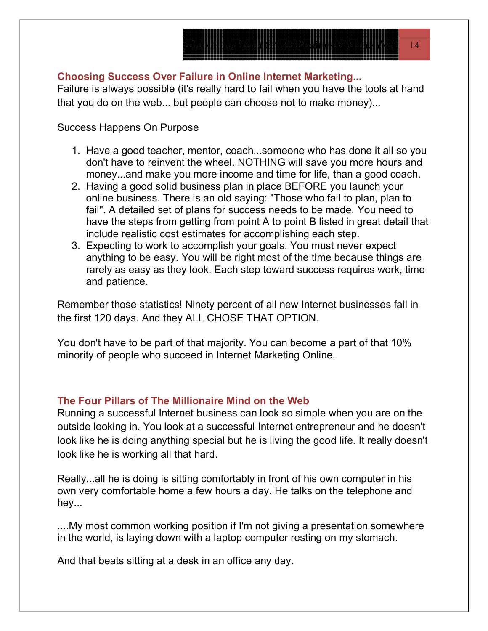# $\overline{\phantom{a}14}$

#### **Choosing Success Over Failure in Online Internet Marketing...**

Failure is always possible (it's really hard to fail when you have the tools at hand that you do on the web... but people can choose not to make money)...

Success Happens On Purpose

- 1. Have a good teacher, mentor, coach...someone who has done it all so you don't have to reinvent the wheel. NOTHING will save you more hours and money...and make you more income and time for life, than a good coach.
- 2. Having a good solid business plan in place BEFORE you launch your online business. There is an old saying: "Those who fail to plan, plan to fail". A detailed set of plans for success needs to be made. You need to have the steps from getting from point A to point B listed in great detail that include realistic cost estimates for accomplishing each step.
- 3. Expecting to work to accomplish your goals. You must never expect anything to be easy. You will be right most of the time because things are rarely as easy as they look. Each step toward success requires work, time and patience.

Remember those statistics! Ninety percent of all new Internet businesses fail in the first 120 days. And they ALL CHOSE THAT OPTION.

You don't have to be part of that majority. You can become a part of that 10% minority of people who succeed in Internet Marketing Online.

### **The Four Pillars of The Millionaire Mind on the Web**

Running a successful Internet business can look so simple when you are on the outside looking in. You look at a successful Internet entrepreneur and he doesn't look like he is doing anything special but he is living the good life. It really doesn't look like he is working all that hard.

Really...all he is doing is sitting comfortably in front of his own computer in his own very comfortable home a few hours a day. He talks on the telephone and hey...

....My most common working position if I'm not giving a presentation somewhere in the world, is laying down with a laptop computer resting on my stomach.

And that beats sitting at a desk in an office any day.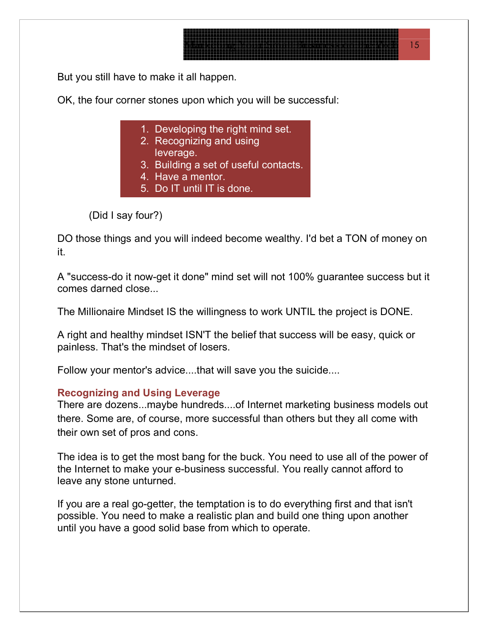But you still have to make it all happen.

OK, the four corner stones upon which you will be successful:

1. Developing the right mind set.

- 2. Recognizing and using leverage.
- 3. Building a set of useful contacts.
- 4. Have a mentor.
- 5. Do IT until IT is done.

(Did I say four?)

DO those things and you will indeed become wealthy. I'd bet a TON of money on it.

A "success-do it now-get it done" mind set will not 100% guarantee success but it comes darned close...

The Millionaire Mindset IS the willingness to work UNTIL the project is DONE.

A right and healthy mindset ISN'T the belief that success will be easy, quick or painless. That's the mindset of losers.

Follow your mentor's advice....that will save you the suicide....

#### **Recognizing and Using Leverage**

There are dozens...maybe hundreds....of Internet marketing business models out there. Some are, of course, more successful than others but they all come with their own set of pros and cons.

The idea is to get the most bang for the buck. You need to use all of the power of the Internet to make your e-business successful. You really cannot afford to leave any stone unturned.

If you are a real go-getter, the temptation is to do everything first and that isn't possible. You need to make a realistic plan and build one thing upon another until you have a good solid base from which to operate.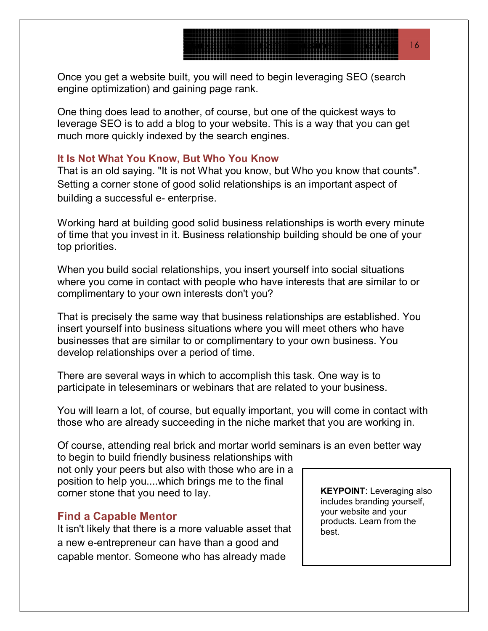Once you get a website built, you will need to begin leveraging SEO (search engine optimization) and gaining page rank.

One thing does lead to another, of course, but one of the quickest ways to leverage SEO is to add a blog to your website. This is a way that you can get much more quickly indexed by the search engines.

#### **It Is Not What You Know, But Who You Know**

That is an old saying. "It is not What you know, but Who you know that counts". Setting a corner stone of good solid relationships is an important aspect of building a successful e- enterprise.

Working hard at building good solid business relationships is worth every minute of time that you invest in it. Business relationship building should be one of your top priorities.

When you build social relationships, you insert yourself into social situations where you come in contact with people who have interests that are similar to or complimentary to your own interests don't you?

That is precisely the same way that business relationships are established. You insert yourself into business situations where you will meet others who have businesses that are similar to or complimentary to your own business. You develop relationships over a period of time.

There are several ways in which to accomplish this task. One way is to participate in teleseminars or webinars that are related to your business.

You will learn a lot, of course, but equally important, you will come in contact with those who are already succeeding in the niche market that you are working in.

Of course, attending real brick and mortar world seminars is an even better way to begin to build friendly business relationships with

not only your peers but also with those who are in a position to help you....which brings me to the final corner stone that you need to lay.

#### **Find a Capable Mentor**

It isn't likely that there is a more valuable asset that a new e-entrepreneur can have than a good and capable mentor. Someone who has already made

**KEYPOINT**: Leveraging also includes branding yourself, your website and your products. Learn from the best.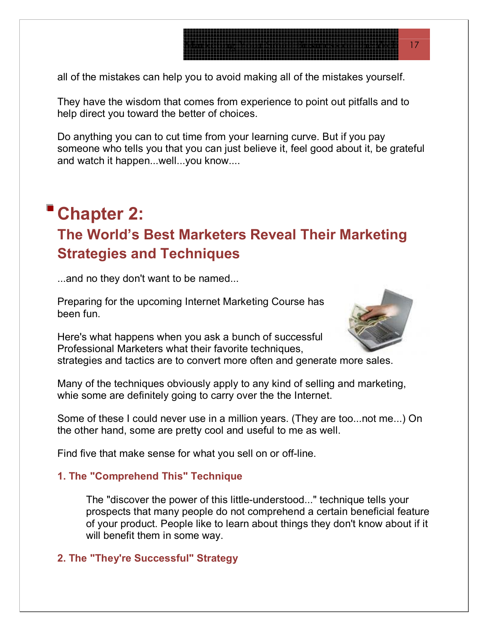all of the mistakes can help you to avoid making all of the mistakes yourself.

They have the wisdom that comes from experience to point out pitfalls and to help direct you toward the better of choices.

Do anything you can to cut time from your learning curve. But if you pay someone who tells you that you can just believe it, feel good about it, be grateful and watch it happen...well...you know....

# **Chapter 2: The World's Best Marketers Reveal Their Marketing Strategies and Techniques**

...and no they don't want to be named...

Preparing for the upcoming Internet Marketing Course h a s been fun.

Here's what happens when you ask a bunch of successful Professional Marketers what their favorite techniques,



Many of the techniques obviously apply to any kind of selling and marketing, whie some are definitely going to carry over the the Internet.

Some of these I could never use in a million years. (They are too...not me...) On the other hand, some are pretty cool and useful to me as well.

Find five that make sense for what you sell on or off-line.

### **1. The "Comprehend This" Technique**

The "discover the power of this little-understood..." technique tells your prospects that many people do not comprehend a certain beneficial feature of your product. People like to learn about things they don't know about if it will benefit them in some way.

### **2. The "They're Successful" Strategy**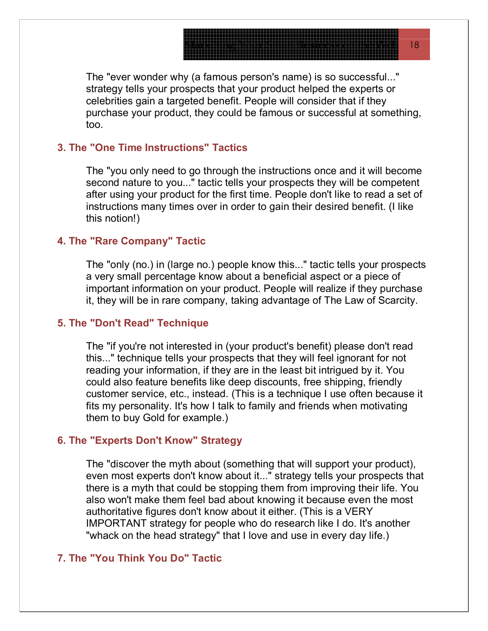The "ever wonder why (a famous person's name) is so successful..." strategy tells your prospects that your product helped the experts or purchase your product, they could be famous or successful at something, celebrities gain a targeted benefit. People will consider that if they too.

#### **3. The "One Time Instructions" Tactics**

The "you only need to go through the instructions once and it will become second nature to you..." tactic tells your prospects they will be competent after using your product for the first time. People don't like to read a set of instructions many times over in order to gain their desired benefit. (I like this notion!)

#### **4. The "Rare Company" Tactic**

The "only (no.) in (large no.) people know this..." tactic tells your prospects a very small percentage know about a beneficial aspect or a piece of it, they will be in rare company, taking advantage of The Law of Scarcity. important information on your product. People will realize if they purchase

#### **5. The "Don't Read" Technique**

The "if you're not interested in (your product's benefit) please don't read this..." technique tells your prospects that they will feel ignorant for not customer service, etc., instead. (This is a technique I use often because it reading your information, if they are in the least bit intrigued by it. You could also feature benefits like deep discounts, free shipping, friendly fits my personality. It's how I talk to family and friends when motivating them to buy Gold for example.)

#### **6. The y "Experts Don't Know" Strateg**

The "discover the myth about (something that will support your product), even most experts don't know about it..." strategy tells your prospects that "whack on the head strategy" that I love and use in every day life.) there is a myth that could be stopping them from improving their life. You also won't make them feel bad about knowing it because even the most authoritative figures don't know about it either. (This is a VERY IMPORTANT strategy for people who do research like I do. It's another

#### **7. The "You Think You Do" Tactic**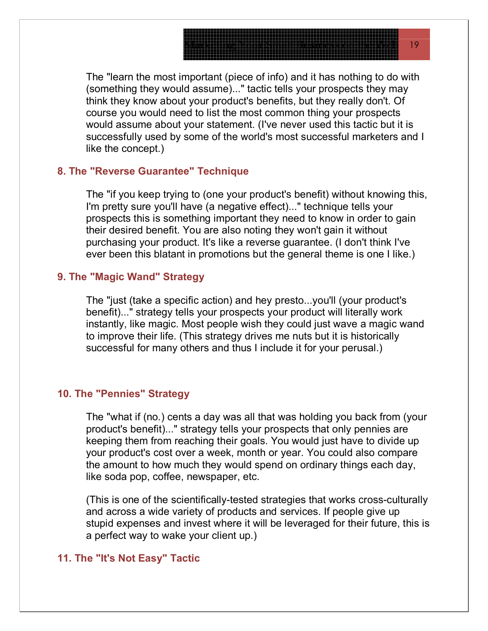The "learn the most important (piece of info) and it has nothing to do with (something they would assume)..." tactic tells your prospects they may successfully used by some of the world's most successful marketers and I think they know about your product's benefits, but they really don't. Of course you would need to list the most common thing your prospects would assume about your statement. (I've never used this tactic but it is like the concept.)

#### **8. The "Reverse Guarantee" Technique**

The "if you keep trying to (one your product's benefit) without knowing this, I'm pretty sure you'll have (a negative effect)..." technique tells your ever been this blatant in promotions but the general theme is one I like.) prospects this is something important they need to know in order to gain their desired benefit. You are also noting they won't gain it without purchasing your product. It's like a reverse guarantee. (I don't think I've

#### **9. The "Magic Wand" Strategy**

The "just (take a specific action) and hey presto...you'll (your product's benefit)..." strategy tells your prospects your product will literally work instantly, like magic. Most people wish they could just wave a magic wand to improve their life. (This strategy drives me nuts but it is historically successful for many others and thus I include it for your perusal.)

#### 10. The "Pennies" Strategy

The "what if (no.) cents a day was all that was holding you back from (your product's benefit)..." strategy tells your prospects that only pennies are your product's cost over a week, month or year. You could also compare keeping them from reaching their goals. You would just have to divide up the amount to how much they would spend on ordinary things each day, like soda pop, coffee, newspaper, etc.

(This is one of the scientifically-tested strategies that works cross-culturally and across a wide variety of products and services. If people give up stupid expenses and invest where it will be leveraged for their future, this is a perfect way to wake your client up.)

#### **11. Th e "It's Not Easy" Tactic**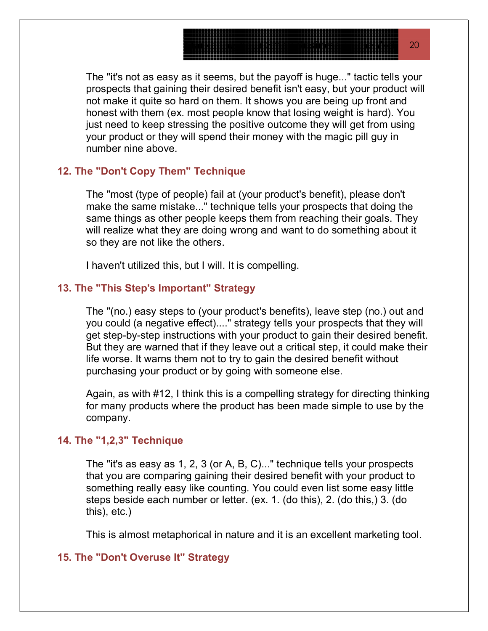The "it's not as easy as it seems, but the payoff is huge..." tactic tells your prospects that gaining their desired benefit isn't easy, but your product will not make it quite so hard on them. It shows you are being up front and honest with them (ex. most people know that losing weight is hard). You just need to keep stressing the positive outcome they will get from using your product or they will spend their money with the magic pill guy in number nine above.

#### **12. The "Don't Copy Them" Technique**

The "most (type of people) fail at (your product's benefit), please don't make the same mistake..." technique tells your prospects that doing the same things as other people keeps them from reaching their goals. They will realize what they are doing wrong and want to do something about it so they are not like the others.

I haven't utilized this, but I will. It is compelling.

#### **13. Th e "This Step's Important" Strategy**

The "(no.) easy steps to (your product's benefits), leave step (no.) out and you could (a negative effect)...." strategy tells your prospects that they will get step-by-step instructions with your product to gain their desired benefit. But they are warned that if they leave out a critical step, it could make their life worse. It warns them not to try to gain the desired benefit without purchasing your product or by going with someone else.

Again, as with #12, I think this is a compelling strategy for directing thinking for many products where the product has been made simple to use by the company.

#### **14. The "1,2,3" Technique**

The "it's as easy as 1, 2, 3 (or A, B, C)..." technique tells your prospects that you are comparing gaining their desired benefit with your product to something really easy like counting. You could even list some easy little steps beside each number or letter. (ex. 1. (do this), 2. (do this,) 3. (do this), etc.)

This is almost metaphorical in nature and it is an excellent marketing tool.

#### **15. Th e "Don't Overuse It" Strategy**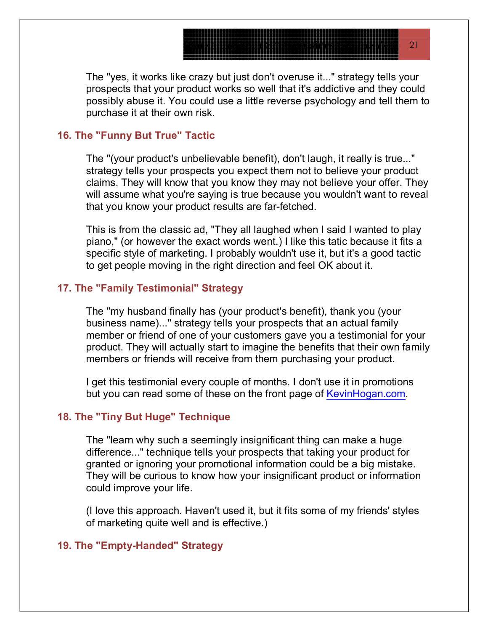The "yes, it works like crazy but just don't overuse it..." strategy tells your prospects that your product works so well that it's addictive and they could possibly abuse it. You could use a little reverse psychology and tell them to purchase it at their own risk.

#### **16. Th e "Funny But True" Tactic**

The "(your product's unbelievable benefit), don't laugh, it really is true..." strategy tells your prospects you expect them not to believe your product claims. They will know that you know they may not believe your offer. They will assume what you're saying is true because you wouldn't want to reveal that you know your product results are far-fetched.

This is from the classic ad, "They all laughed when I said I wanted to play piano," (or however the exact words went.) I like this tatic because it fits a specific style of marketing. I probably wouldn't use it, but it's a good tactic to get people moving in the right direction and feel OK about it.

#### **17. Th e "Family Testimonial" Strategy**

The "my husband finally has (your product's benefit), thank you (your business name)..." strategy tells your prospects that an actual family member or friend of one of your customers gave you a testimonial for your product. They will actually start to imagine the benefits that their own family members or friends will receive from them purchasing your product.

I get this testimonial every couple of months. I don't use it in promotions but you can read some of these on the front page of KevinHogan.com.

#### **18. Th e "Tiny But Huge" Technique**

The "learn why such a seemingly insignificant thing can make a huge difference..." technique tells your prospects that taking your product for granted or ignoring your promotional information could be a big mistake. They will be curious to know how your insignificant product or information could improve your life.

(I love this approach. Haven't used it, but it fits some of my friends' styles of marketing quite well and is effective.)

#### **19. Th e "Empty-Handed" Strategy**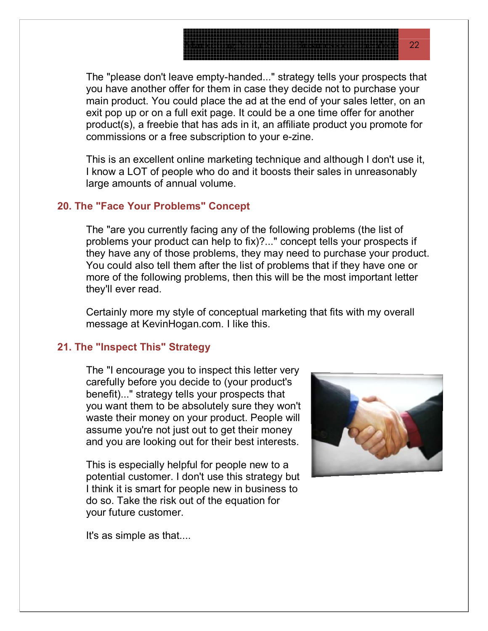The "please don't leave empty-handed..." strategy tells your prospects that you have another offer for them in case they decide not to purchase your main product. You could place the ad at the end of your sales letter, on an exit pop up or on a full exit page. It could be a one time offer for another product(s), a freebie that has ads in it, an affiliate product you promote for commissions or a free subscription to your e-zine.

This is an excellent online marketing technique and although I don't use it, I know a LOT of people who do and it boosts their sales in unreasonably large amounts of annual volume.

#### **20. The "Face Your Problems" Concept**

The "are you currently facing any of the following problems (the list of problems your product can help to fix)?..." concept tells your prospects if they have any of those problems, they may need to purchase your product. You could also tell them after the list of problems that if they have one or more of the following problems, then this will be the most important letter they'll ever read.

Certainly more my style of conceptual marketing that fits with my overall message at KevinHogan.com. I like this.

#### **21. Th e "Inspect This" Strategy**

The "I encourage you to inspect this letter very carefully before you decide to (your product's you want them to be absolutely sure they won't waste their money on your product. People will benefit)..." strategy tells your prospects that assume you're not just out to get their money and you are looking out for their best interests.

potential customer. I don't use this strategy but This is especially helpful for people new to a I think it is smart for people new in business to do so. Take the risk out of the equation for your future customer.



It's as simple as that....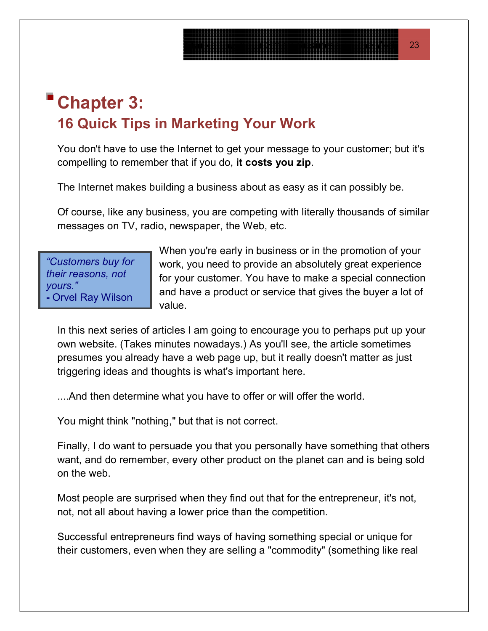# **Chapter 3: 16 Quick Tips in Marketing Your Work**

You don't have to use the Internet to get your message to your customer; but it's compelling to remember that if you do, **it costs you zip**.

The Internet makes building a business about as easy as it can possibly be.

Of course, like any business, you are competing with literally thousands of similar messages on TV, radio, newspaper, the Web, etc.

*"Customers buy for their reasons, not yours."* **-** Orvel Ray Wilson

When you're early in business or in the promotion of your work, you need to provide an absolutely great experience for your customer. You have to make a special connection and have a product or service that gives the buyer a lot of value.

In this next series of articles I am going to encourage you to perhaps put up your own website. (Takes minutes nowadays.) As you'll see, the article sometimes presumes you already have a web page up, but it really doesn't matter as just triggering ideas and thoughts is what's important here.

....And then determine what you have to offer or will offer the world.

You might think "nothing," but that is not correct.

Finally, I do want to persuade you that you personally have something that others want, and do remember, every other product on the planet can and is being sold on the web.

Most people are surprised when they find out that for the entrepreneur, it's not, not, not all about having a lower price than the competition.

Successful entrepreneurs find ways of having something special or unique for their customers, even when they are selling a "commodity" (something like real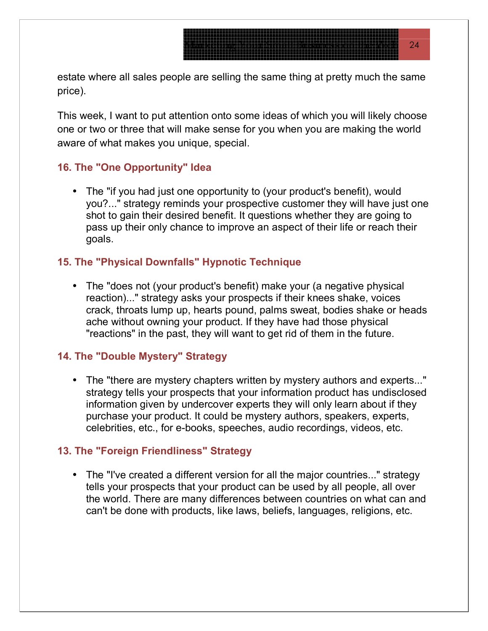estate where all sales people are selling the same thing at pretty much the same price).

This week, I want to put attention onto some ideas of which you will likely choose one or two or three that will make sense for you when you are making the world aware of what makes you unique, special.

#### **16. The "One Opportunity" Idea**

• The "if you had just one opportunity to (your product's benefit), would you?..." strategy reminds your prospective customer they will have just one shot to gain their desired benefit. It questions whether they are going to pass up their only chance to improve an aspect of their life or reach their goals.

#### **15. The "Physical Downfalls" Hypnotic Technique**

• The "does not (your product's benefit) make your (a negative physical reaction)..." strategy asks your prospects if their knees shake, voices crack, throats lump up, hearts pound, palms sweat, bodies shake or heads ache without owning your product. If they have had those physical "reactions" in the past, they will want to get rid of them in the future.

#### **14. Th e "Double Mystery" Strategy**

• The "there are mystery chapters written by mystery authors and experts..." strategy tells your prospects that your information product has undisclosed information given by undercover experts they will only learn about if they purchase your product. It could be mystery authors, speakers, experts, celebrities, etc., for e-books, speeches, audio recordings, videos, etc.

#### **13. Th e "Foreign Friendliness" Strategy**

• The "I've created a different version for all the major countries..." strategy tells your prospects that your product can be used by all people, all over the world. There are many differences between countries on what can and can't be done with products, like laws, beliefs, languages, religions, etc.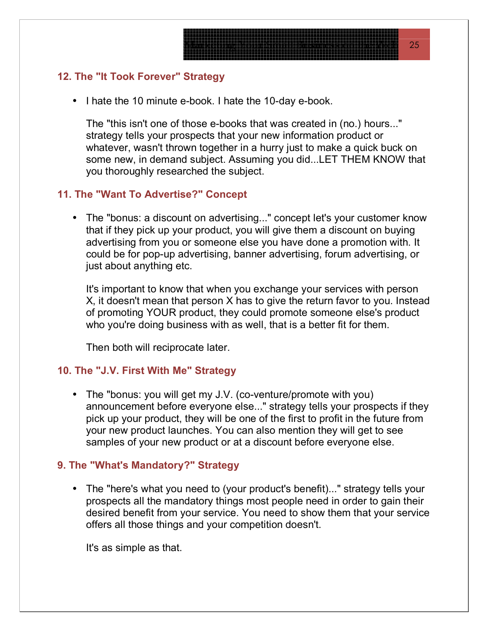#### **2. The "It Took Forever" Strategy 1**

• I hate the 10 minute e-book. I hate the 10-day e-book.

The "this isn't one of those e-books that was created in (no.) hours..." strategy tells your prospects that your new information product or whatever, wasn't thrown together in a hurry just to make a quick buck on some new, in demand subject. Assuming you did...LET THEM KNOW that you thoroughly researched the subject.

#### **11. Th e "Want To Advertise?" Concept**

• The "bonus: a discount on advertising..." concept let's your customer know that if they pick up your product, you will give them a discount on buying advertising from you or someone else you have done a promotion with. It could be for pop-up advertising, banner advertising, forum advertising, or just about anything etc.

It's important to know that when you exchange your services with person X, it doesn't mean that person X has to give the return favor to you. Instead of promoting YOUR product, they could promote someone else's product who you're doing business with as well, that is a better fit for them.

Then both will reciprocate later.

#### **10. Th e "J.V. First With Me" Strategy**

• The "bonus: you will get my J.V. (co-venture/promote with you) announcement before everyone else..." strategy tells your prospects if they pick up your product, they will be one of the first to profit in the future from your new product launches. You can also mention they will get to see samples of your new product or at a discount before everyone else.

#### **9. The "What's Mandatory?" Strategy**

• The "here's what you need to (your product's benefit)..." strategy tells your prospects all the mandatory things most people need in order to gain their desired benefit from your service. You need to show them that your service offers all those things and your competition doesn't.

It's as simple as that.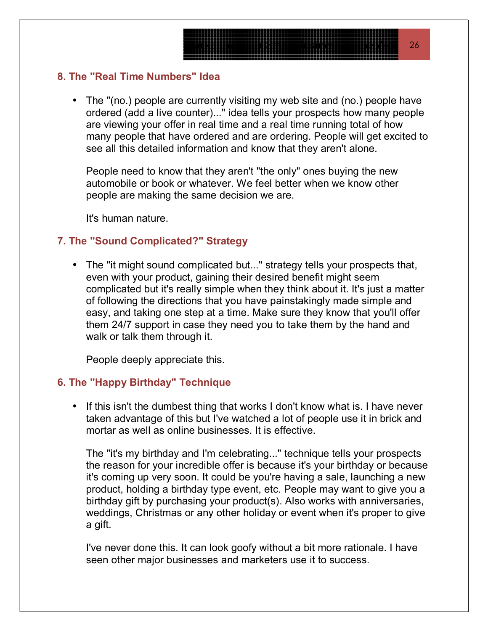#### **8. The "Real Time Numbers" Idea**

• The "(no.) people are currently visiting my web site and (no.) people have ordered (add a live counter)..." idea tells your prospects how many people are viewing your offer in real time and a real time running total of how many people that have ordered and are ordering. People will get excited to see all this detailed information and know that they aren't alone.

People need to know that they aren't "the only" ones buying the new automobile or book or whatever. We feel better when we know other people are making the same decision we are.

It's human nature.

#### **7. The "Sound Complicated?" Strategy**

• The "it might sound complicated but..." strategy tells your prospects that, even with your product, gaining their desired benefit might seem of following the directions that you have painstakingly made simple and complicated but it's really simple when they think about it. It's just a matter easy, and taking one step at a time. Make sure they know that you'll offer them 24/7 support in case they need you to take them by the hand and walk or talk them through it.

People deeply appreciate this.

#### **6. The "Happy Birthday" Technique**

• If this isn't the dumbest thing that works I don't know what is. I have never taken advantage of this but I've watched a lot of people use it in brick and mortar as well as online businesses. It is effective.

The "it's my birthday and I'm celebrating..." technique tells your prospects the reason for your incredible offer is because it's your birthday or because it's coming up very soon. It could be you're having a sale, launching a new product, holding a birthday type event, etc. People may want to give you a birthday gift by purchasing your product(s). Also works with anniversaries, weddings, Christmas or any other holiday or event when it's proper to give a gift.

I've never done this. It can look goofy without a bit more rationale. I have seen other major businesses and marketers use it to success.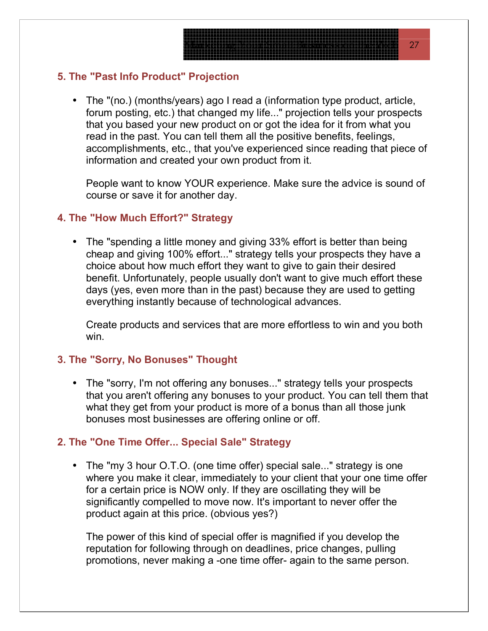#### **5. The "Past Info Product" Projection**

• The "(no.) (months/years) ago I read a (information type product, article, forum posting, etc.) that changed my life..." projection tells your prospects that you based your new product on or got the idea for it from what you read in the past. You can tell them all the positive benefits, feelings, accomplishments, etc., that you've experienced since reading that piece of information and created your own product from it.

People want to know YOUR experience. Make sure the advice is sound of course or save it for another day.

#### **4. The "How Much Effort?" Strategy**

• The "spending a little money and giving 33% effort is better than being cheap and giving 100% effort..." strategy tells your prospects they have a choice about how much effort they want to give to gain their desired benefit. Unfortunately, people usually don't want to give much effort these days (yes, even more than in the past) because they are used to getting everything instantly because of technological advances.

Create products and services that are more effortless to win and you both win.

#### **3. The "Sorry, No Bonuses" Thought**

• The "sorry, I'm not offering any bonuses..." strategy tells your prospects that you aren't offering any bonuses to your product. You can tell them that what they get from your product is more of a bonus than all those junk bonuses most businesses are offering online or off.

#### **2. The "One Time Offer... Special Sale" Strategy**

• The "my 3 hour O.T.O. (one time offer) special sale..." strategy is one where you make it clear, immediately to your client that your one time offer for a certain price is NOW only. If they are oscillating they will be significantly compelled to move now. It's important to never offer the product again at this price. (obvious yes?)

reputation for following through on deadlines, price changes, pulling promotions, never making a -one time offer- again to the same person. The power of this kind of special offer is magnified if you develop the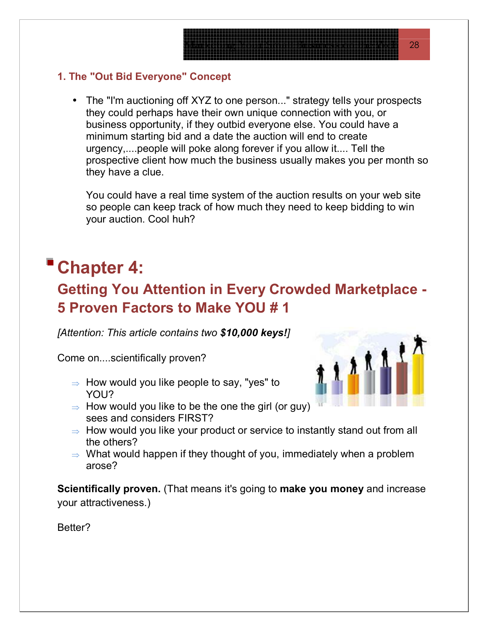### **1. The "Out Bid Everyone" Concept**

• The "I'm auctioning off XYZ to one person..." strategy tells your prospects they could perhaps have their own unique connection with you, or business opportunity, if they outbid everyone else. You could have a minimum starting bid and a date the auction will end to create prospective client how much the business usually makes you per month so urgency,....people will poke along forever if you allow it.... Tell the they have a clue.

You could have a real time system of the auction results on your web site your auction. Cool huh? so people can keep track of how much they need to keep bidding to win

# **Chapter 4:**

# **Getting You Attention in Every Crowded Marketplace -5 Proven Factors to Make YOU # 1**

*[Attention: This article contains two \$10,000 keys!]*

Come on....scientifically proven?

- YOU?  $\Rightarrow$  How would you like people to say, "yes" to
- $\Rightarrow$  How would you like to be the one the girl (or guy) sees and considers FIRST?



- $\Rightarrow$  How would you like your product or service to instantly stand out from all the others?
- $\Rightarrow$  What would happen if they thought of you, immediately when a problem arose?

**Scientifically proven.** (That means it's going to make you money and increase your a ttractiveness.)

Better?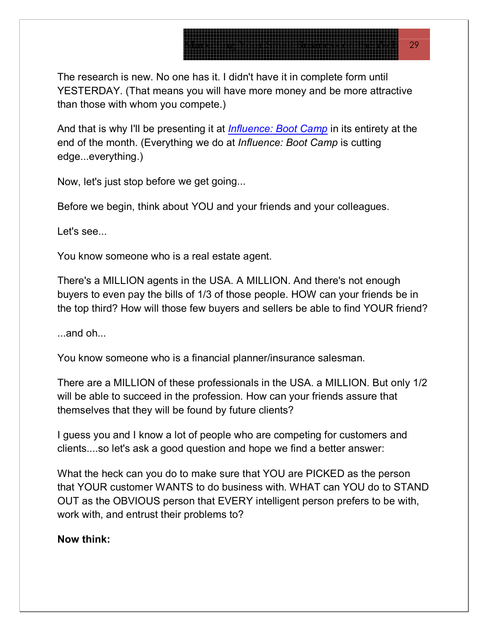The research is new. No one has it. I didn't have it in complete form until YESTERDAY. (That means you will have more money and be more attractive than those with whom you compete.)

And that is why I'll be presenting it at *Influence: Boot Camp* in its entirety at the end of the month. (Everything we do at *Influence: Boot Camp* is cutting edge...everything.)

Now, let's just stop before we get going...

Before we begin, think about YOU and your friends and your colleagues.

Let's see...

You know someone who is a real estate agent.

There's a MILLION agents in the USA. A MILLION. And there's not enough buyers to even pay the bills of 1/3 of those people. HOW can your friends be in the top third? How will those few buyers and sellers be able to find YOUR friend?

...and oh...

You know someone who is a financial planner/insurance salesman.

There are a MILLION of these professionals in the USA. a MILLION. But only 1/2 will be able to succeed in the profession. How can your friends assure that themselves that they will be found by future clients?

I guess you and I know a lot of people who are competing for customers and clients....so let's ask a good question and hope we find a better answer:

What the heck can you do to make sure that YOU are PICKED as the person that YOUR customer WANTS to do business with. WHAT can YOU do to STAND , OUT as the OBVIOUS person that EVERY intelligent person prefers to be with work with, and entrust their problems to?

#### **Now think:**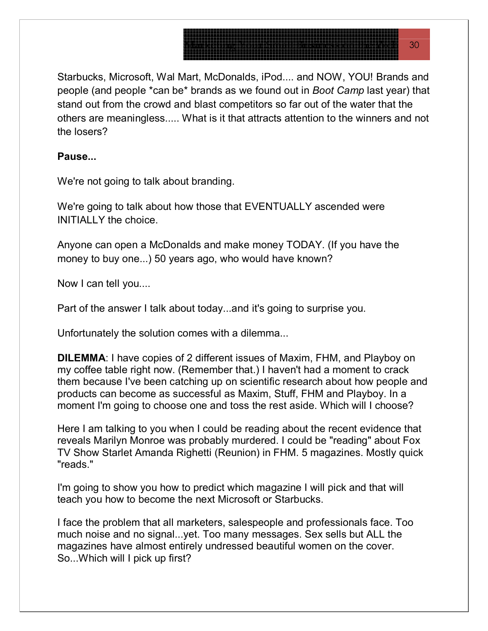Starbucks, Microsoft, Wal Mart, McDonalds, iPod.... and NOW, YOU! Brands and people (and people \*can be\* brands as we found out in *Boot Camp* last year) that stand out from the crowd and blast competitors so far out of the water that the others are meaningless..... What is it that attracts attention to the winners and not the losers?

#### **Pause...**

We're not going to talk about branding.

We're going to talk about how those that EVENTUALLY ascended were INITIALLY the choice.

Anyone can open a McDonalds and make money TODAY. (If you have the money to buy one...) 50 years ago, who would have known?

Now I can tell you....

Part of the answer I talk about today...and it's going to surprise you.

Unfortunately the solution comes with a dilemma...

**DILEMMA**: I have copies of 2 different issues of Maxim, FHM, and Playboy on my coffee table right now. (Remember that.) I haven't had a moment to crack them because I've been catching up on scientific research about how people and products can become as successful as Maxim, Stuff, FHM and Playboy. In a moment I'm going to choose one and toss the rest aside. Which will I choose?

Here I am talking to you when I could be reading about the recent evidence that reveals Marilyn Monroe was probably murdered. I could be "reading" about Fox TV Show Starlet Amanda Righetti (Reunion) in FHM. 5 magazines. Mostly quick "reads."

I'm going to show you how to predict which magazine I will pick and that will teach you how to become the next Microsoft or Starbucks.

I face the problem that all marketers, salespeople and professionals face. Too much noise and no signal...yet. Too many messages. Sex sells but ALL the magazines have almost entirely undressed beautiful women on the cover. So...Which will I pick up first?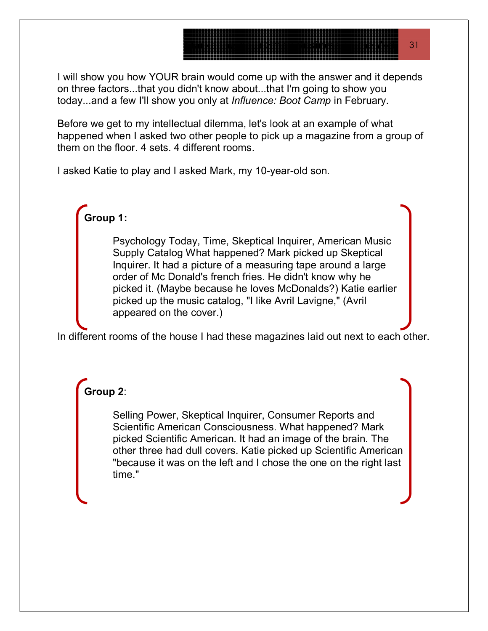I will show you how YOUR brain would come up with the answer and it depends on three factors...that you didn't know about...that I'm going to show you today...and a few I'll show you only at *Influence: Boot Camp* in February.

Before we get to my intellectual dilemma, let's look at an example of what happened when I asked two other people to pick up a magazine from a group of them on the floor. 4 sets. 4 different rooms.

I asked Katie to play and I asked Mark, my 10-year-old son.

## **Group 1:**

Psychology Today, Time, Skeptical Inquirer, American Music Supply Catalog What happened? Mark picked up Skeptical Inquirer. It had a picture of a measuring tape around a large order of Mc Donald's french fries. He didn't know why he picked it. (Maybe because he loves McDonalds?) Katie earlier picked up the music catalog, "I like Avril Lavigne," (Avril appeared on the cover.)

In different rooms of the house I had these magazines laid out next to each other.

### **Group 2**:

Selling Power, Skeptical Inquirer, Consumer Reports and Scientific American Consciousness. What happened? Mark picked Scientific American. It had an image of the brain. The other three had dull covers. Katie picked up Scientific American "because it was on the left and I chose the one on the right last time."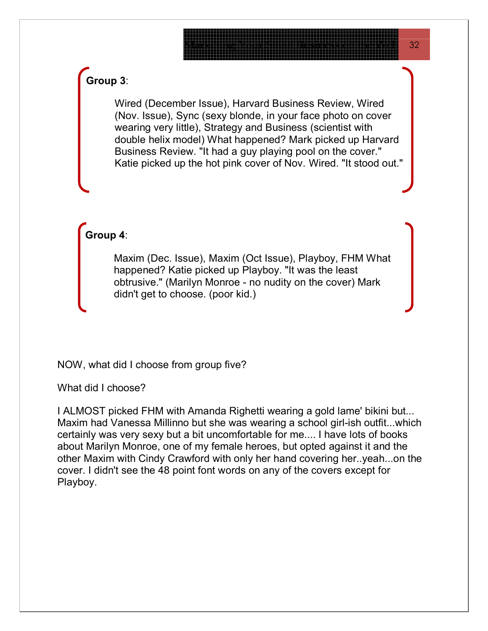### **Group 3**:

Wired (December Issue), Harvard Business Review, Wired (Nov. Issue), Sync (sexy blonde, in your face photo on cover wearing very little), Strategy and Business (scientist with double helix model) What happened? Mark picked up H arvard Business Review. "It had a guy playing pool on the cover." Katie picked up the hot pink cover of Nov. Wired. "It stood out."

**Group 4**:

Maxim (Dec. Issue), Maxim (Oct Issue), Playboy, FHM What happened? Katie picked up Playboy. "It was the least obtrusive." (Marilyn Monroe - no nudity on the cover) Mark didn't get to choose. (poor kid.)

NOW, what did I choose from group five?

What did I choose?

I ALMOST picked FHM with Amanda Righetti wearing a gold lame' bikini but... Maxim had Vanessa Millinno but she was wearing a school girl-ish outfit...which ertainly was very sexy but a bit uncomfortable for me.... I have lots of books c about Marilyn Monroe, one of my female heroes, but opted against it and the other Maxim with Cindy Crawford with only her hand covering her..yeah...on the cover. I didn't see the 48 point font words on any of the covers except for Playboy.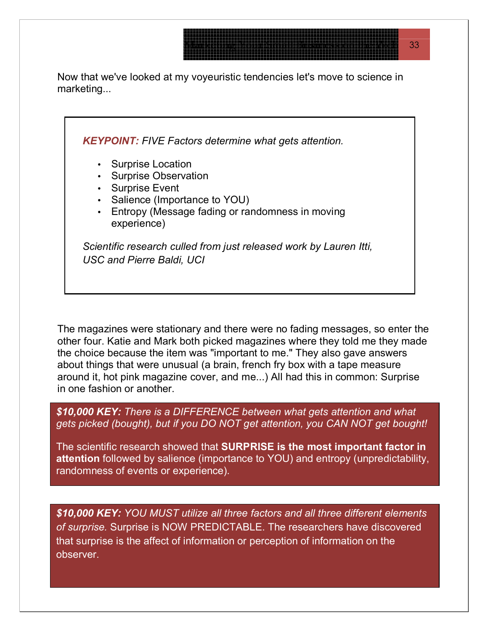Now that we've looked at my voyeuristic tendencies let's move to science in marketing...



The magazines were stationary and there were no fading messages, so enter the other four. Katie and Mark both picked magazines where they told me they made the choice because the item was "important to me." They also gave answers about things that were unusual (a brain, french fry box with a tape measure around it, hot pink magazine cover, and me...) All had this in common: Surprise in one fashion or another.

*\$10,000 KEY: There is a DIFFERENCE between what gets attention and what gets picked (bought), but if you DO NOT get attention, you CAN NOT get bought!*

The scientific research showed that **SURPRISE is the most important factor in attention** followed by salience (importance to YOU) and entropy (unpredictability, randomness of events or experience).

*\$10,000 KEY: YOU MUST utilize all three factors and all three different elements of surprise.* Surprise is NOW PREDICTABLE. The researchers have discovered that surprise is the affect of information or perception of information on the observer.